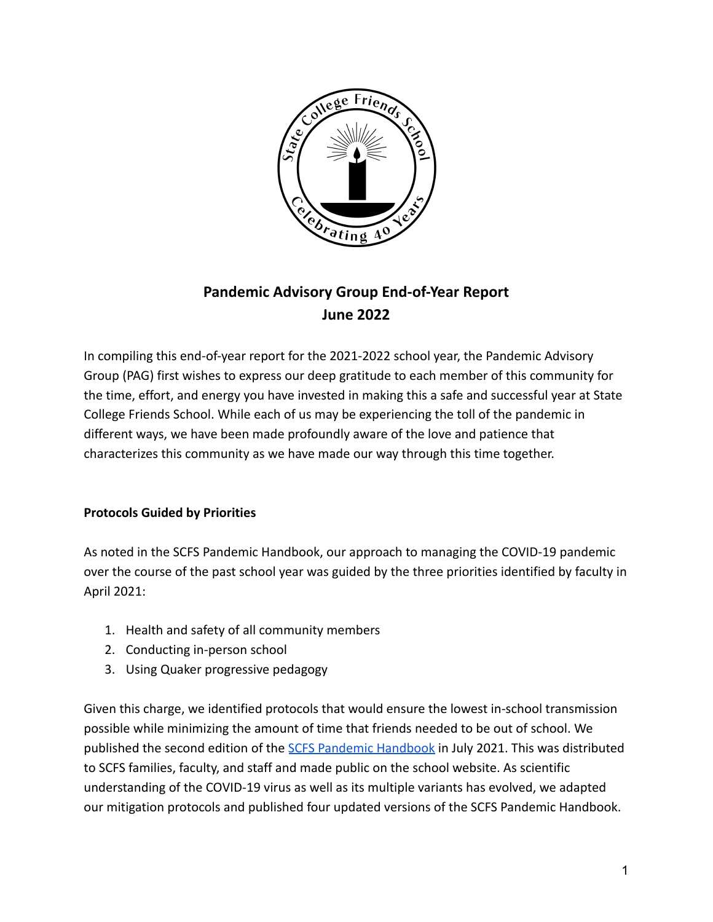

# **Pandemic Advisory Group End-of-Year Report June 2022**

In compiling this end-of-year report for the 2021-2022 school year, the Pandemic Advisory Group (PAG) first wishes to express our deep gratitude to each member of this community for the time, effort, and energy you have invested in making this a safe and successful year at State College Friends School. While each of us may be experiencing the toll of the pandemic in different ways, we have been made profoundly aware of the love and patience that characterizes this community as we have made our way through this time together.

# **Protocols Guided by Priorities**

As noted in the SCFS Pandemic Handbook, our approach to managing the COVID-19 pandemic over the course of the past school year was guided by the three priorities identified by faculty in April 2021:

- 1. Health and safety of all community members
- 2. Conducting in-person school
- 3. Using Quaker progressive pedagogy

Given this charge, we identified protocols that would ensure the lowest in-school transmission possible while minimizing the amount of time that friends needed to be out of school. We published the second edition of the [SCFS Pandemic](https://www.scribd.com/document/571905718/scfs-covid-19-pandemic-handbook-april-2022-1?secret_password=fycBKQaNr9wfJjfJHGkV#fullscreen&from_embed) Handbook in July 2021. This was distributed to SCFS families, faculty, and staff and made public on the school website. As scientific understanding of the COVID-19 virus as well as its multiple variants has evolved, we adapted our mitigation protocols and published four updated versions of the SCFS Pandemic Handbook.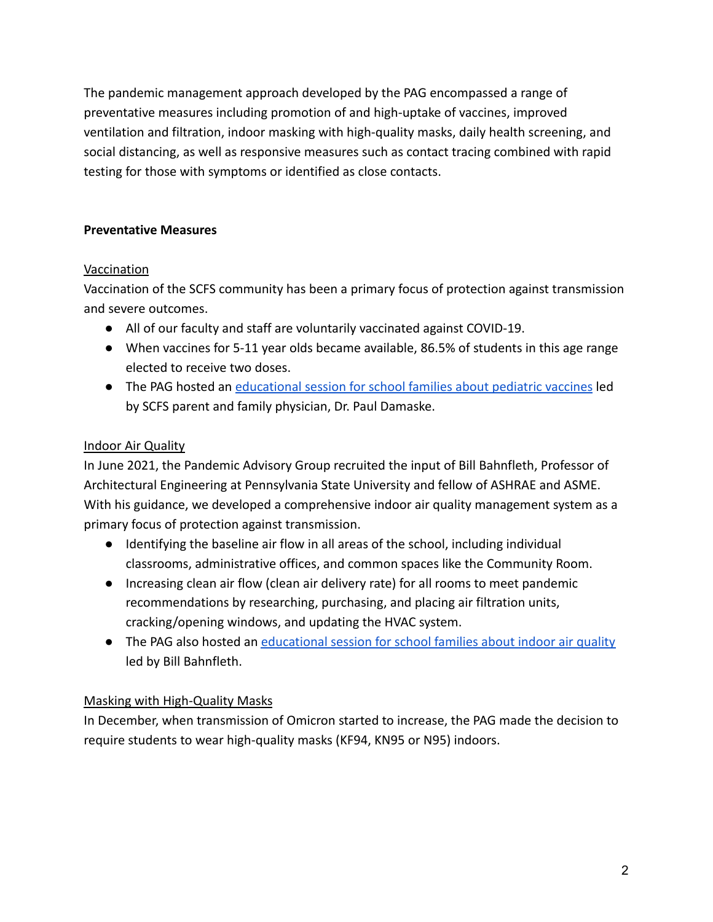The pandemic management approach developed by the PAG encompassed a range of preventative measures including promotion of and high-uptake of vaccines, improved ventilation and filtration, indoor masking with high-quality masks, daily health screening, and social distancing, as well as responsive measures such as contact tracing combined with rapid testing for those with symptoms or identified as close contacts.

## **Preventative Measures**

## **Vaccination**

Vaccination of the SCFS community has been a primary focus of protection against transmission and severe outcomes.

- All of our faculty and staff are voluntarily vaccinated against COVID-19.
- When vaccines for 5-11 year olds became available, 86.5% of students in this age range elected to receive two doses.
- The PAG hosted an [educational session for school families](https://www.youtube.com/watch?v=I92e8z0Q0oo) about pediatric vaccines led by SCFS parent and family physician, Dr. Paul Damaske.

# Indoor Air Quality

In June 2021, the Pandemic Advisory Group recruited the input of Bill Bahnfleth, Professor of Architectural Engineering at Pennsylvania State University and fellow of ASHRAE and ASME. With his guidance, we developed a comprehensive indoor air quality management system as a primary focus of protection against transmission.

- Identifying the baseline air flow in all areas of the school, including individual classrooms, administrative offices, and common spaces like the Community Room.
- Increasing clean air flow (clean air delivery rate) for all rooms to meet pandemic recommendations by researching, purchasing, and placing air filtration units, cracking/opening windows, and updating the HVAC system.
- The PAG also hosted an educational session for school [families about indoor air quality](https://www.youtube.com/watch?v=ezC2lHUvK8U) led by Bill Bahnfleth.

# Masking with High-Quality Masks

In December, when transmission of Omicron started to increase, the PAG made the decision to require students to wear high-quality masks (KF94, KN95 or N95) indoors.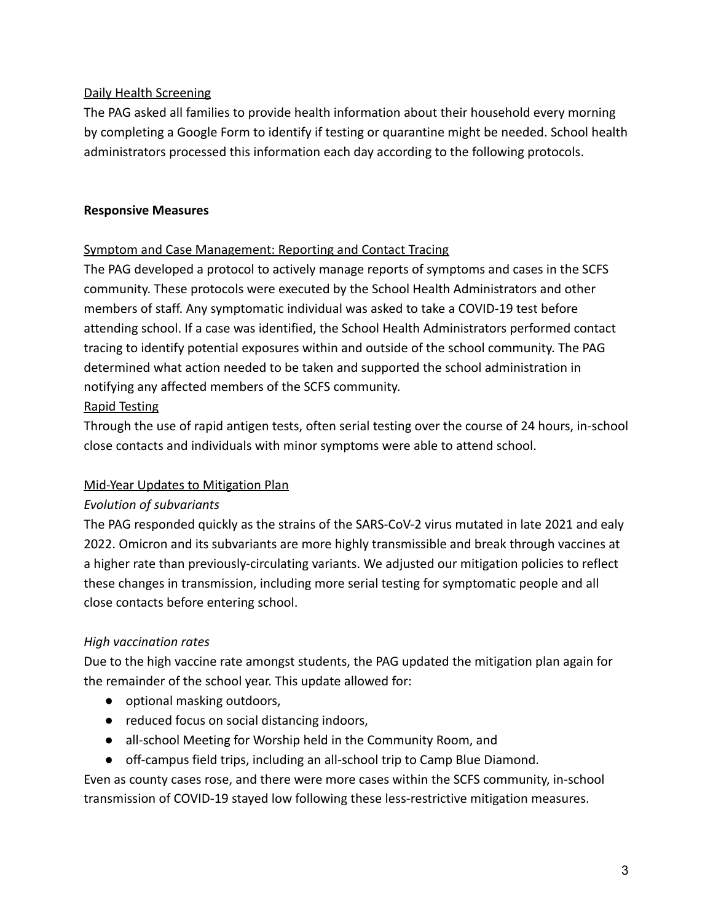## Daily Health Screening

The PAG asked all families to provide health information about their household every morning by completing a Google Form to identify if testing or quarantine might be needed. School health administrators processed this information each day according to the following protocols.

## **Responsive Measures**

## Symptom and Case Management: Reporting and Contact Tracing

The PAG developed a protocol to actively manage reports of symptoms and cases in the SCFS community. These protocols were executed by the School Health Administrators and other members of staff. Any symptomatic individual was asked to take a COVID-19 test before attending school. If a case was identified, the School Health Administrators performed contact tracing to identify potential exposures within and outside of the school community. The PAG determined what action needed to be taken and supported the school administration in notifying any affected members of the SCFS community.

## Rapid Testing

Through the use of rapid antigen tests, often serial testing over the course of 24 hours, in-school close contacts and individuals with minor symptoms were able to attend school.

## Mid-Year Updates to Mitigation Plan

## *Evolution of subvariants*

The PAG responded quickly as the strains of the SARS-CoV-2 virus mutated in late 2021 and ealy 2022. Omicron and its subvariants are more highly transmissible and break through vaccines at a higher rate than previously-circulating variants. We adjusted our mitigation policies to reflect these changes in transmission, including more serial testing for symptomatic people and all close contacts before entering school.

# *High vaccination rates*

Due to the high vaccine rate amongst students, the PAG updated the mitigation plan again for the remainder of the school year. This update allowed for:

- optional masking outdoors,
- reduced focus on social distancing indoors,
- all-school Meeting for Worship held in the Community Room, and
- off-campus field trips, including an all-school trip to Camp Blue Diamond.

Even as county cases rose, and there were more cases within the SCFS community, in-school transmission of COVID-19 stayed low following these less-restrictive mitigation measures.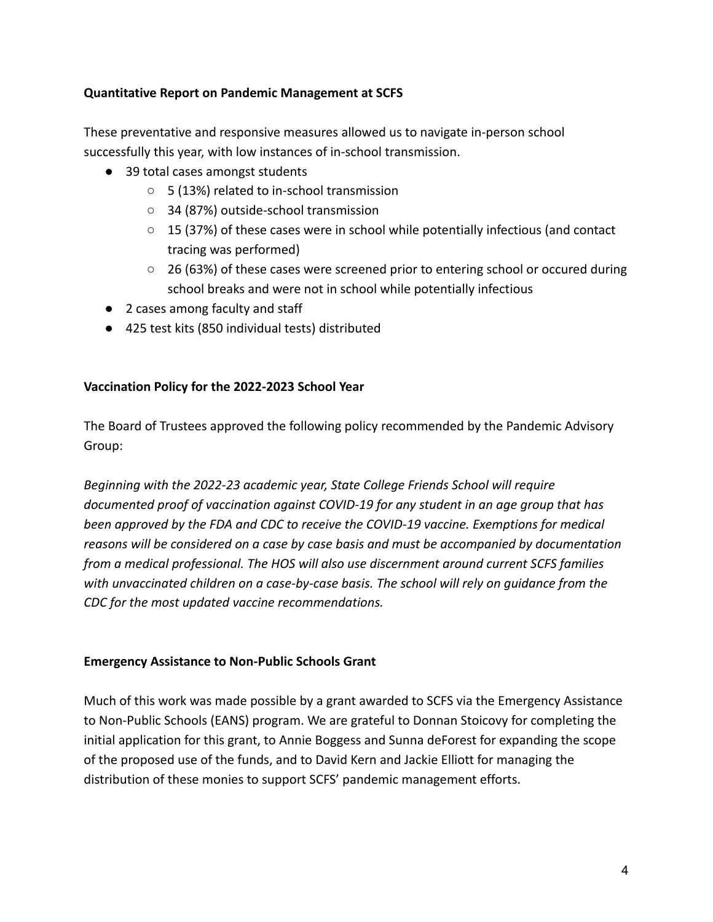#### **Quantitative Report on Pandemic Management at SCFS**

These preventative and responsive measures allowed us to navigate in-person school successfully this year, with low instances of in-school transmission.

- 39 total cases amongst students
	- 5 (13%) related to in-school transmission
	- 34 (87%) outside-school transmission
	- 15 (37%) of these cases were in school while potentially infectious (and contact tracing was performed)
	- $\circ$  26 (63%) of these cases were screened prior to entering school or occured during school breaks and were not in school while potentially infectious
- 2 cases among faculty and staff
- 425 test kits (850 individual tests) distributed

## **Vaccination Policy for the 2022-2023 School Year**

The Board of Trustees approved the following policy recommended by the Pandemic Advisory Group:

*Beginning with the 2022-23 academic year, State College Friends School will require documented proof of vaccination against COVID-19 for any student in an age group that has been approved by the FDA and CDC to receive the COVID-19 vaccine. Exemptions for medical reasons will be considered on a case by case basis and must be accompanied by documentation from a medical professional. The HOS will also use discernment around current SCFS families with unvaccinated children on a case-by-case basis. The school will rely on guidance from the CDC for the most updated vaccine recommendations.*

## **Emergency Assistance to Non-Public Schools Grant**

Much of this work was made possible by a grant awarded to SCFS via the Emergency Assistance to Non-Public Schools (EANS) program. We are grateful to Donnan Stoicovy for completing the initial application for this grant, to Annie Boggess and Sunna deForest for expanding the scope of the proposed use of the funds, and to David Kern and Jackie Elliott for managing the distribution of these monies to support SCFS' pandemic management efforts.